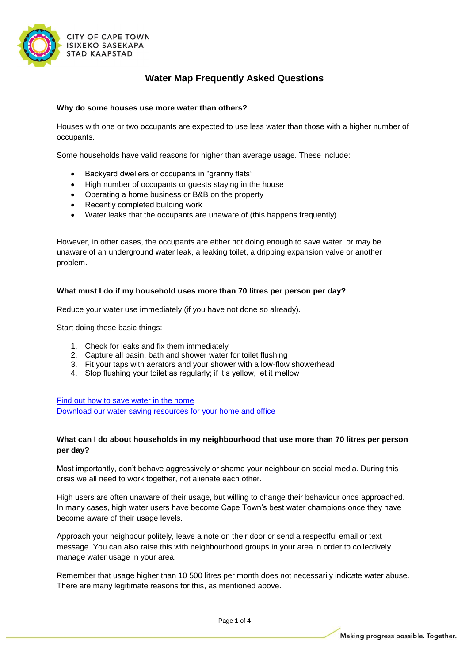

# **Water Map Frequently Asked Questions**

#### **Why do some houses use more water than others?**

Houses with one or two occupants are expected to use less water than those with a higher number of occupants.

Some households have valid reasons for higher than average usage. These include:

- Backyard dwellers or occupants in "granny flats"
- High number of occupants or guests staying in the house
- Operating a home business or B&B on the property
- Recently completed building work
- Water leaks that the occupants are unaware of (this happens frequently)

However, in other cases, the occupants are either not doing enough to save water, or may be unaware of an underground water leak, a leaking toilet, a dripping expansion valve or another problem.

#### **What must I do if my household uses more than 70 litres per person per day?**

Reduce your water use immediately (if you have not done so already).

Start doing these basic things:

- 1. Check for leaks and fix them immediately
- 2. Capture all basin, bath and shower water for toilet flushing
- 3. Fit your taps with aerators and your shower with a low-flow showerhead
- 4. Stop flushing your toilet as regularly; if it's yellow, let it mellow

[Find out how to save water in the home](http://www.capetown.gov.za/Family%20and%20home/Residential-utility-services/Residential-water-and-sanitation-services/Saving-water-in-the-home) [Download our water saving resources for your home and office](http://www.capetown.gov.za/Family%20and%20home/education-and-research-materials/graphics-and-educational-material/water-saving-resources)

## **What can I do about households in my neighbourhood that use more than 70 litres per person per day?**

Most importantly, don't behave aggressively or shame your neighbour on social media. During this crisis we all need to work together, not alienate each other.

High users are often unaware of their usage, but willing to change their behaviour once approached. In many cases, high water users have become Cape Town's best water champions once they have become aware of their usage levels.

Approach your neighbour politely, leave a note on their door or send a respectful email or text message. You can also raise this with neighbourhood groups in your area in order to collectively manage water usage in your area.

Remember that usage higher than 10 500 litres per month does not necessarily indicate water abuse. There are many legitimate reasons for this, as mentioned above.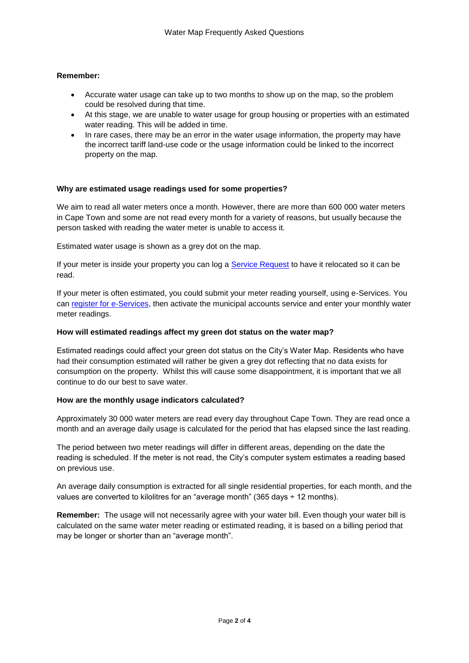## **Remember:**

- Accurate water usage can take up to two months to show up on the map, so the problem could be resolved during that time.
- At this stage, we are unable to water usage for group housing or properties with an estimated water reading. This will be added in time.
- In rare cases, there may be an error in the water usage information, the property may have the incorrect tariff land-use code or the usage information could be linked to the incorrect property on the map.

## **Why are estimated usage readings used for some properties?**

We aim to read all water meters once a month. However, there are more than 600 000 water meters in Cape Town and some are not read every month for a variety of reasons, but usually because the person tasked with reading the water meter is unable to access it.

Estimated water usage is shown as a grey dot on the map.

If your meter is inside your property you can log a [Service Request](https://eservices1.capetown.gov.za/coct/wapl/zsreq_app/index.html) to have it relocated so it can be read.

If your meter is often estimated, you could submit your meter reading yourself, using e-Services. You can [register for e-Services,](http://www.capetown.gov.za/City-Connect/Register/eservices-and-municipal-accounts/Register-for-a-municipal-account/Register%20for%20a%20municipal%20account) then activate the municipal accounts service and enter your monthly water meter readings.

## **How will estimated readings affect my green dot status on the water map?**

Estimated readings could affect your green dot status on the City's Water Map. Residents who have had their consumption estimated will rather be given a grey dot reflecting that no data exists for consumption on the property. Whilst this will cause some disappointment, it is important that we all continue to do our best to save water.

## **How are the monthly usage indicators calculated?**

Approximately 30 000 water meters are read every day throughout Cape Town. They are read once a month and an average daily usage is calculated for the period that has elapsed since the last reading.

The period between two meter readings will differ in different areas, depending on the date the reading is scheduled. If the meter is not read, the City's computer system estimates a reading based on previous use.

An average daily consumption is extracted for all single residential properties, for each month, and the values are converted to kilolitres for an "average month" (365 days  $\div$  12 months).

**Remember:** The usage will not necessarily agree with your water bill. Even though your water bill is calculated on the same water meter reading or estimated reading, it is based on a billing period that may be longer or shorter than an "average month".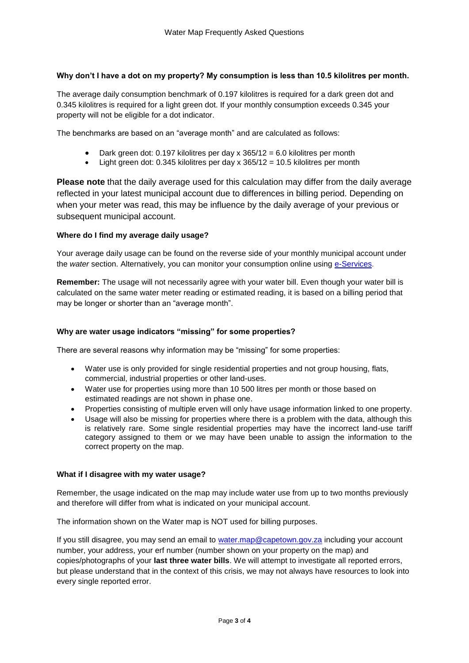## **Why don't I have a dot on my property? My consumption is less than 10.5 kilolitres per month.**

The average daily consumption benchmark of 0.197 kilolitres is required for a dark green dot and 0.345 kilolitres is required for a light green dot. If your monthly consumption exceeds 0.345 your property will not be eligible for a dot indicator.

The benchmarks are based on an "average month" and are calculated as follows:

- Dark green dot: 0.197 kilolitres per day x 365/12 = 6.0 kilolitres per month
- Light green dot: 0.345 kilolitres per day x 365/12 = 10.5 kilolitres per month

**Please note** that the daily average used for this calculation may differ from the daily average reflected in your latest municipal account due to differences in billing period. Depending on when your meter was read, this may be influence by the daily average of your previous or subsequent municipal account.

## **Where do I find my average daily usage?**

Your average daily usage can be found on the reverse side of your monthly municipal account under the *water* section. Alternatively, you can monitor your consumption online using [e-Services](https://eservices.capetown.gov.za/irj/portal).

**Remember:** The usage will not necessarily agree with your water bill. Even though your water bill is calculated on the same water meter reading or estimated reading, it is based on a billing period that may be longer or shorter than an "average month".

## **Why are water usage indicators "missing" for some properties?**

There are several reasons why information may be "missing" for some properties:

- Water use is only provided for single residential properties and not group housing, flats, commercial, industrial properties or other land-uses.
- Water use for properties using more than 10 500 litres per month or those based on estimated readings are not shown in phase one.
- Properties consisting of multiple erven will only have usage information linked to one property.
- Usage will also be missing for properties where there is a problem with the data, although this is relatively rare. Some single residential properties may have the incorrect land-use tariff category assigned to them or we may have been unable to assign the information to the correct property on the map.

## **What if I disagree with my water usage?**

Remember, the usage indicated on the map may include water use from up to two months previously and therefore will differ from what is indicated on your municipal account.

The information shown on the Water map is NOT used for billing purposes.

If you still disagree, you may send an email to [water.map@capetown.gov.za](mailto:water.map@capetown.gov.za) including your account number, your address, your erf number (number shown on your property on the map) and copies/photographs of your **last three water bills**. We will attempt to investigate all reported errors, but please understand that in the context of this crisis, we may not always have resources to look into every single reported error.